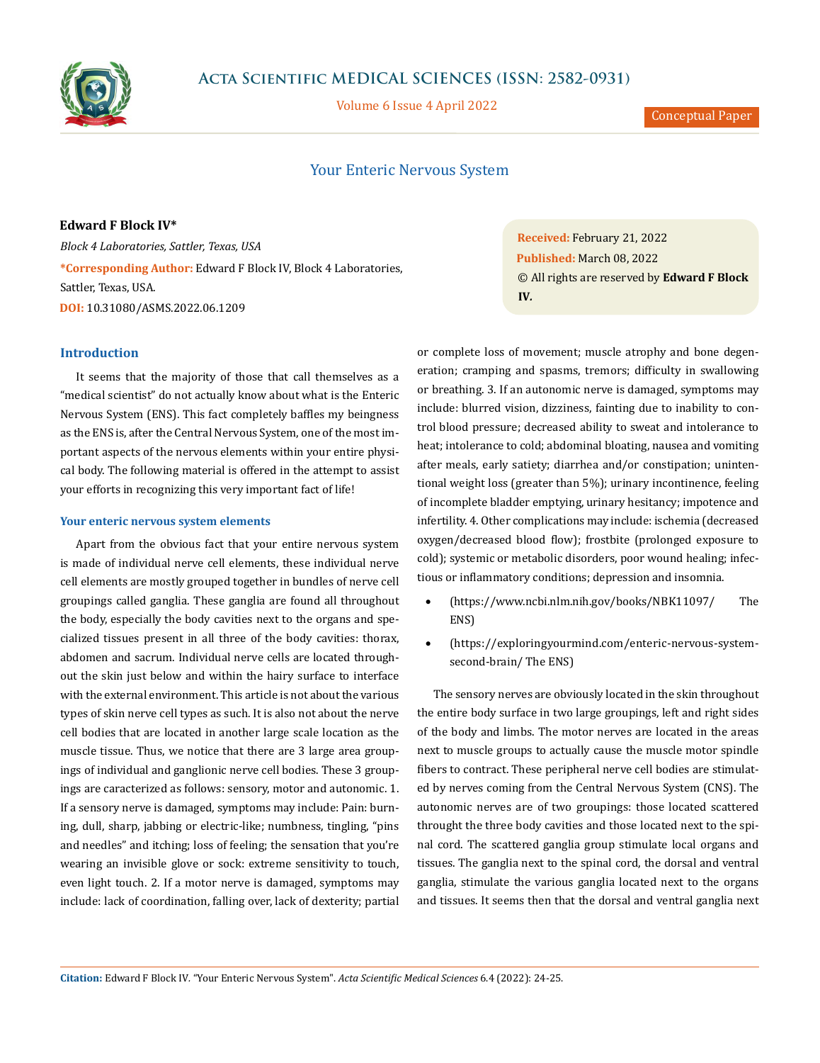

# **Acta Scientific MEDICAL SCIENCES (ISSN: 2582-0931)**

Volume 6 Issue 4 April 2022

Conceptual Paper

## Your Enteric Nervous System

**Edward F Block IV\*** *Block 4 Laboratories, Sattler, Texas, USA* **\*Corresponding Author:** Edward F Block IV, Block 4 Laboratories, Sattler, Texas, USA. **DOI:** [10.31080/ASMS.2022.06.1209](http://actascientific.com/ASMS/pdf/ASMS-06-1209.pdf)

## **Introduction**

It seems that the majority of those that call themselves as a "medical scientist" do not actually know about what is the Enteric Nervous System (ENS). This fact completely baffles my beingness as the ENS is, after the Central Nervous System, one of the most important aspects of the nervous elements within your entire physical body. The following material is offered in the attempt to assist your efforts in recognizing this very important fact of life!

#### **Your enteric nervous system elements**

Apart from the obvious fact that your entire nervous system is made of individual nerve cell elements, these individual nerve cell elements are mostly grouped together in bundles of nerve cell groupings called ganglia. These ganglia are found all throughout the body, especially the body cavities next to the organs and specialized tissues present in all three of the body cavities: thorax, abdomen and sacrum. Individual nerve cells are located throughout the skin just below and within the hairy surface to interface with the external environment. This article is not about the various types of skin nerve cell types as such. It is also not about the nerve cell bodies that are located in another large scale location as the muscle tissue. Thus, we notice that there are 3 large area groupings of individual and ganglionic nerve cell bodies. These 3 groupings are caracterized as follows: sensory, motor and autonomic. 1. If a sensory nerve is damaged, symptoms may include: Pain: burning, dull, sharp, jabbing or electric-like; numbness, tingling, "pins and needles" and itching; loss of feeling; the sensation that you're wearing an invisible glove or sock: extreme sensitivity to touch, even light touch. 2. If a motor nerve is damaged, symptoms may include: lack of coordination, falling over, lack of dexterity; partial **Received:** February 21, 2022 **Published:** March 08, 2022 © All rights are reserved by **Edward F Block IV***.*

or complete loss of movement; muscle atrophy and bone degeneration; cramping and spasms, tremors; difficulty in swallowing or breathing. 3. If an autonomic nerve is damaged, symptoms may include: blurred vision, dizziness, fainting due to inability to control blood pressure; decreased ability to sweat and intolerance to heat; intolerance to cold; abdominal bloating, nausea and vomiting after meals, early satiety; diarrhea and/or constipation; unintentional weight loss (greater than 5%); urinary incontinence, feeling of incomplete bladder emptying, urinary hesitancy; impotence and infertility. 4. Other complications may include: ischemia (decreased oxygen/decreased blood flow); frostbite (prolonged exposure to cold); systemic or metabolic disorders, poor wound healing; infectious or inflammatory conditions; depression and insomnia.

- • (<https://www.ncbi.nlm.nih.gov/books/NBK11097/> The ENS)
- ([https://exploringyourmind.com/enteric-nervous-system](https://exploringyourmind.com/enteric-nervous-system-second-brain/)[second-brain/](https://exploringyourmind.com/enteric-nervous-system-second-brain/) The ENS)

The sensory nerves are obviously located in the skin throughout the entire body surface in two large groupings, left and right sides of the body and limbs. The motor nerves are located in the areas next to muscle groups to actually cause the muscle motor spindle fibers to contract. These peripheral nerve cell bodies are stimulated by nerves coming from the Central Nervous System (CNS). The autonomic nerves are of two groupings: those located scattered throught the three body cavities and those located next to the spinal cord. The scattered ganglia group stimulate local organs and tissues. The ganglia next to the spinal cord, the dorsal and ventral ganglia, stimulate the various ganglia located next to the organs and tissues. It seems then that the dorsal and ventral ganglia next